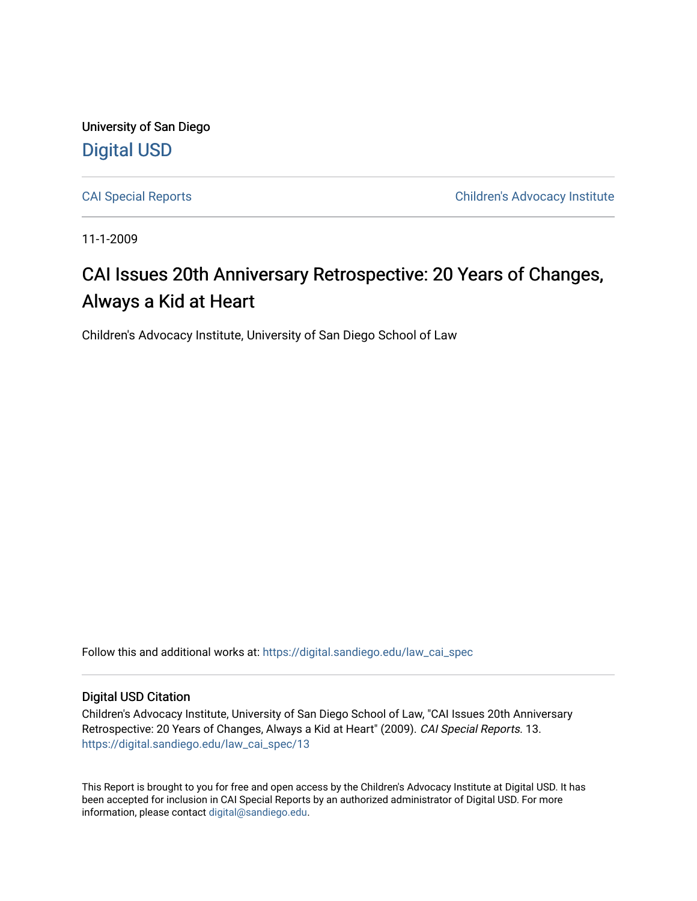University of San Diego [Digital USD](https://digital.sandiego.edu/)

[CAI Special Reports](https://digital.sandiego.edu/law_cai_spec) [Children's Advocacy Institute](https://digital.sandiego.edu/law_cai) 

11-1-2009

#### CAI Issues 20th Anniversary Retrospective: 20 Years of Changes, Always a Kid at Heart

Children's Advocacy Institute, University of San Diego School of Law

Follow this and additional works at: [https://digital.sandiego.edu/law\\_cai\\_spec](https://digital.sandiego.edu/law_cai_spec?utm_source=digital.sandiego.edu%2Flaw_cai_spec%2F13&utm_medium=PDF&utm_campaign=PDFCoverPages) 

#### Digital USD Citation

Children's Advocacy Institute, University of San Diego School of Law, "CAI Issues 20th Anniversary Retrospective: 20 Years of Changes, Always a Kid at Heart" (2009). CAI Special Reports. 13. [https://digital.sandiego.edu/law\\_cai\\_spec/13](https://digital.sandiego.edu/law_cai_spec/13?utm_source=digital.sandiego.edu%2Flaw_cai_spec%2F13&utm_medium=PDF&utm_campaign=PDFCoverPages)

This Report is brought to you for free and open access by the Children's Advocacy Institute at Digital USD. It has been accepted for inclusion in CAI Special Reports by an authorized administrator of Digital USD. For more information, please contact [digital@sandiego.edu.](mailto:digital@sandiego.edu)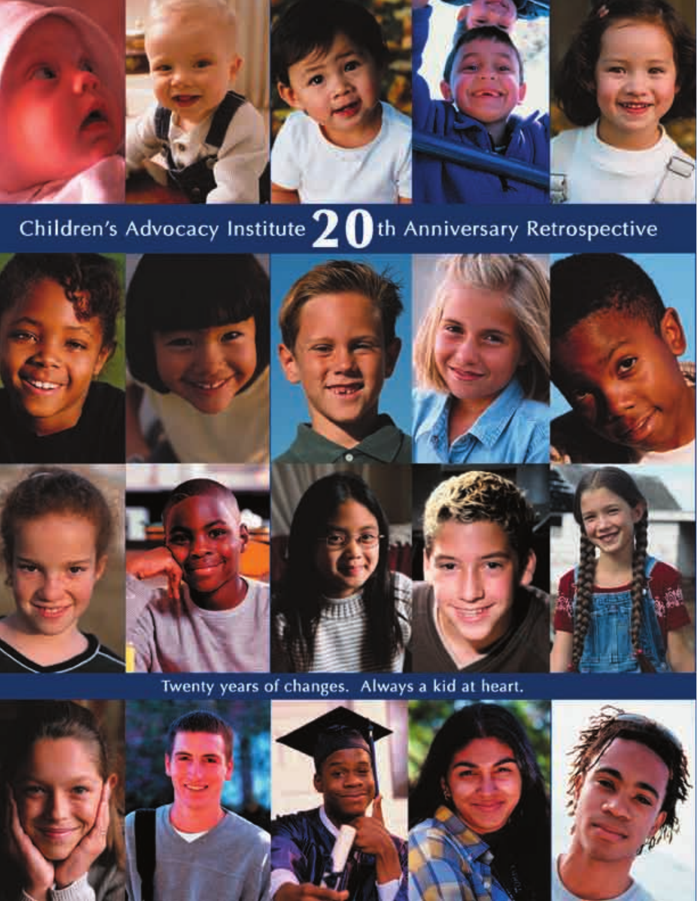

### Children's Advocacy Institute  $20$ th Anniversary Retrospective



Twenty years of changes. Always a kid at heart.

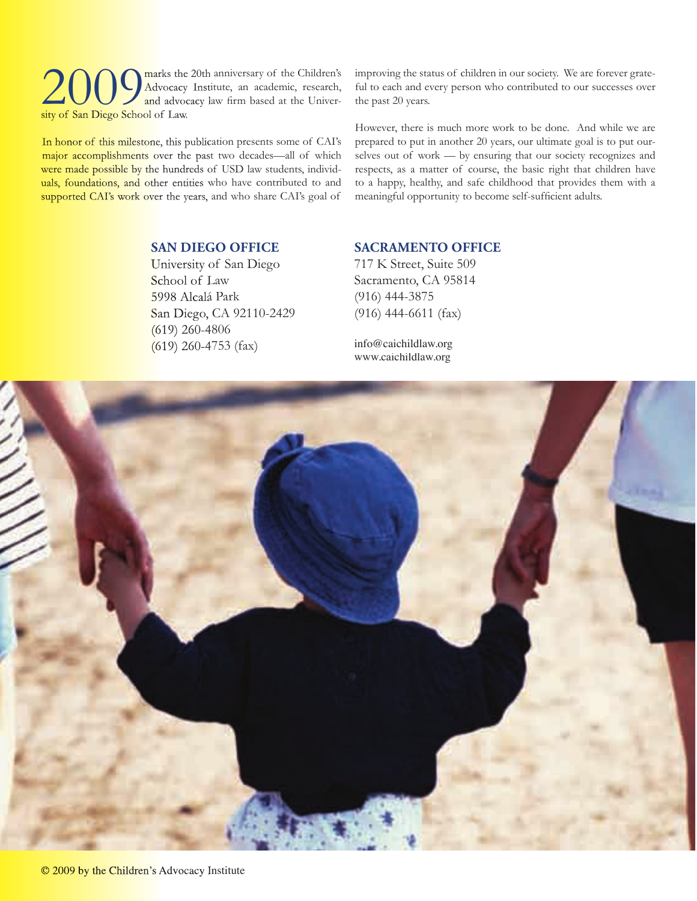2009 marks the 20th anniversary of the Children's and advocacy Institute, an academic, research, and advocacy law firm based at the University of San Diego School of Law Advocacy Institute, an academic, research, and advocacy law firm based at the University of San Diego School of Law.

In honor of this milestone, this publication presents some of CAI's major accomplishments over the past two decades—all of which were made possible by the hundreds of USD law students, individuals, foundations, and other entities who have contributed to and supported CAI's work over the years, and who share CAI's goal of

improving the status of children in our society. We are forever grateful to each and every person who contributed to our successes over the past 20 years.

However, there is much more work to be done. And while we are prepared to put in another 20 years, our ultimate goal is to put ourselves out of work — by ensuring that our society recognizes and respects, as a matter of course, the basic right that children have to a happy, healthy, and safe childhood that provides them with a meaningful opportunity to become self-sufficient adults.

#### **SAN DIEGO OFFICE**

University of San Diego School of Law 5998 Alcalá Park San Diego, CA 92110-2429 (619) 260-4806 (619) 260-4753 (fax)

#### **SACRAMENTO OFFICE**

717 K Street, Suite 509 Sacramento, CA 95814 (916) 444-3875 (916) 444-6611 (fax)

info@caichildlaw.org www.caichildlaw.org

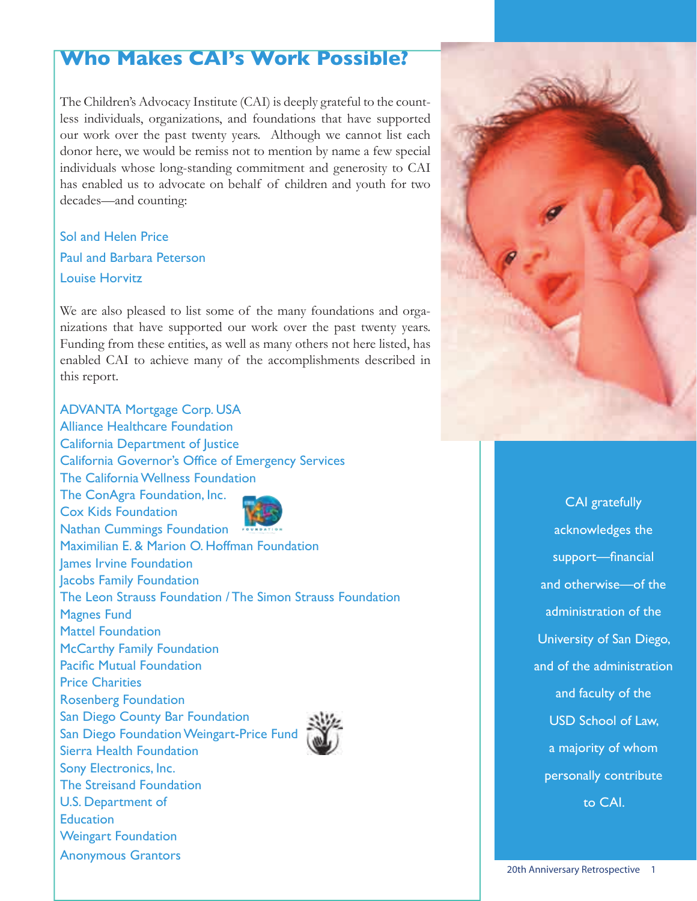#### **Who Makes CAI's Work Possible?**

The Children's Advocacy Institute (CAI) is deeply grateful to the countless individuals, organizations, and foundations that have supported our work over the past twenty years. Although we cannot list each donor here, we would be remiss not to mention by name a few special individuals whose long-standing commitment and generosity to CAI has enabled us to advocate on behalf of children and youth for two decades—and counting:

Sol and Helen Price Paul and Barbara Peterson Louise Horvitz

We are also pleased to list some of the many foundations and organizations that have supported our work over the past twenty years. Funding from these entities, as well as many others not here listed, has enabled CAI to achieve many of the accomplishments described in this report.

ADVANTA Mortgage Corp. USA Alliance Healthcare Foundation California Department of Justice California Governor's Office of Emergency Services The California Wellness Foundation The ConAgra Foundation, Inc. Cox Kids Foundation Nathan Cummings Foundation Maximilian E. & Marion O. Hoffman Foundation James Irvine Foundation Jacobs Family Foundation The Leon Strauss Foundation / The Simon Strauss Foundation Magnes Fund Mattel Foundation McCarthy Family Foundation Pacific Mutual Foundation Price Charities Rosenberg Foundation San Diego County Bar Foundation San Diego Foundation Weingart-Price Fund Sierra Health Foundation Sony Electronics, Inc. The Streisand Foundation U.S. Department of **Education** Weingart Foundation Anonymous Grantors



CAI gratefully acknowledges the support-financial and otherwise—of the administration of the University of San Diego, and of the administration and faculty of the USD School of Law, a majority of whom personally contribute to CAI.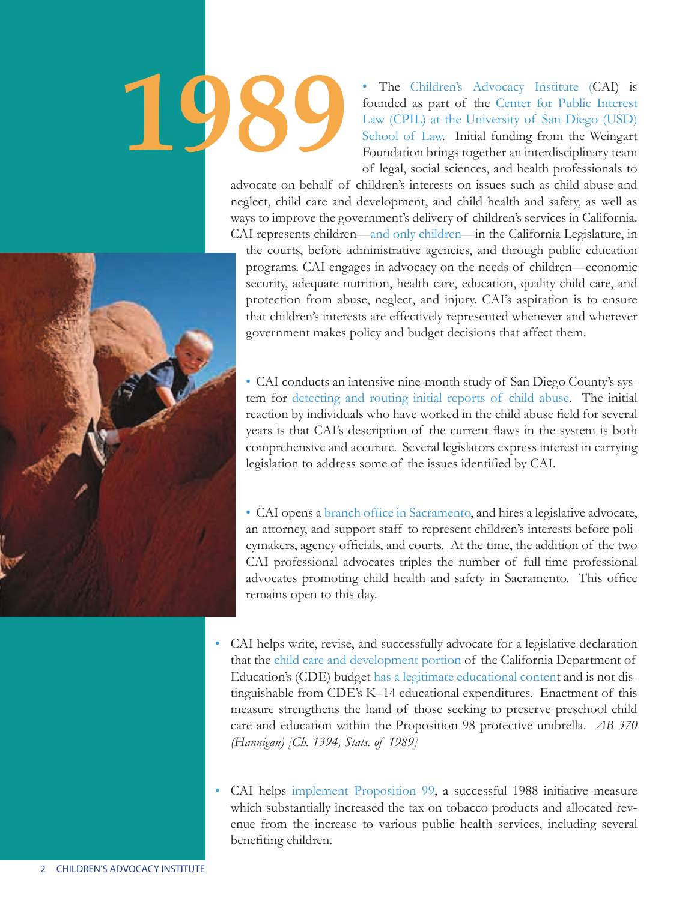

The Children's Advocacy Institute (CAI) is founded as part of the Center for Public Interest Law (CPIL) at the University of San Diego (USD) School of Law. Initial funding from the Weingart Foundation brings together an interdisciplinary team of legal, social sciences, and health professionals to

advocate on behalf of children's interests on issues such as child abuse and neglect, child care and development, and child health and safety, as well as ways to improve the government's delivery of children's services in California. CAI represents children—and only children—in the California Legislature, in

the courts, before administrative agencies, and through public education programs. CAI engages in advocacy on the needs of children—economic security, adequate nutrition, health care, education, quality child care, and protection from abuse, neglect, and injury. CAI's aspiration is to ensure that children's interests are effectively represented whenever and wherever government makes policy and budget decisions that affect them.

• CAI conducts an intensive nine-month study of San Diego County's system for detecting and routing initial reports of child abuse. The initial reaction by individuals who have worked in the child abuse field for several years is that CAI's description of the current flaws in the system is both comprehensive and accurate. Several legislators express interest in carrying legislation to address some of the issues identified by CAI.

• CAI opens a branch office in Sacramento, and hires a legislative advocate, an attorney, and support staff to represent children's interests before policymakers, agency officials, and courts. At the time, the addition of the two CAI professional advocates triples the number of full-time professional advocates promoting child health and safety in Sacramento. This office remains open to this day.

• CAI helps write, revise, and successfully advocate for a legislative declaration that the child care and development portion of the California Department of Education's (CDE) budget has a legitimate educational content and is not distinguishable from CDE's K–14 educational expenditures. Enactment of this measure strengthens the hand of those seeking to preserve preschool child care and education within the Proposition 98 protective umbrella. *AB 370 (Hannigan) [Ch. 1394, Stats. of 1989]*

• CAI helps implement Proposition 99, a successful 1988 initiative measure which substantially increased the tax on tobacco products and allocated revenue from the increase to various public health services, including several benefiting children.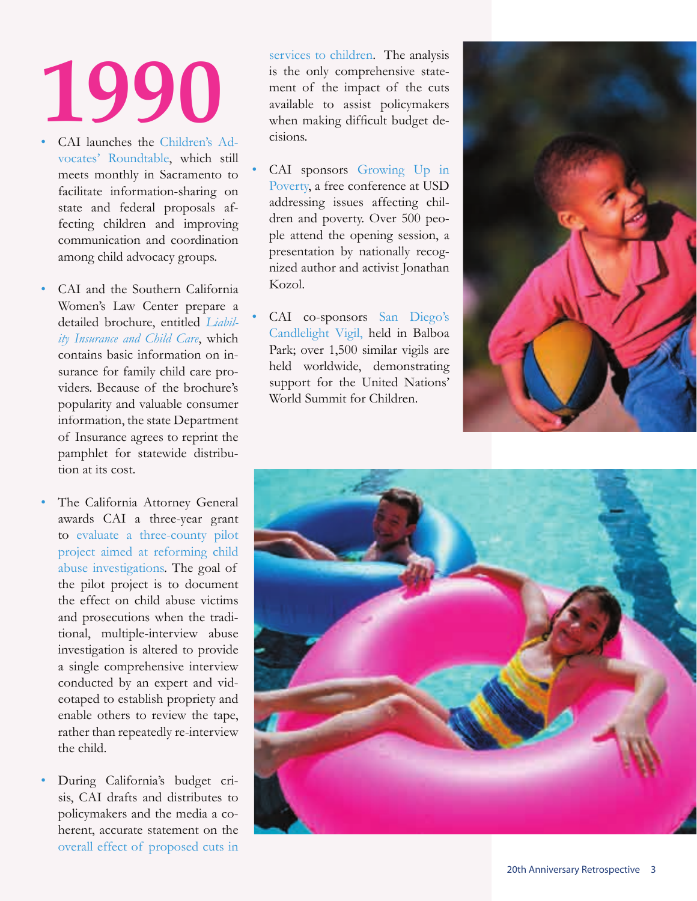- CAI launches the Children's Advocates' Roundtable, which still meets monthly in Sacramento to facilitate information-sharing on state and federal proposals affecting children and improving communication and coordination among child advocacy groups.
- CAI and the Southern California Women's Law Center prepare a detailed brochure, entitled *Liability Insurance and Child Care*, which contains basic information on insurance for family child care providers. Because of the brochure's popularity and valuable consumer information, the state Department of Insurance agrees to reprint the pamphlet for statewide distribution at its cost.
- The California Attorney General awards CAI a three-year grant to evaluate a three-county pilot project aimed at reforming child abuse investigations. The goal of the pilot project is to document the effect on child abuse victims and prosecutions when the traditional, multiple-interview abuse investigation is altered to provide a single comprehensive interview conducted by an expert and videotaped to establish propriety and enable others to review the tape, rather than repeatedly re-interview the child.
- During California's budget crisis, CAI drafts and distributes to policymakers and the media a coherent, accurate statement on the overall effect of proposed cuts in

services to children. The analysis is the only comprehensive statement of the impact of the cuts available to assist policymakers when making difficult budget decisions.

- CAI sponsors Growing Up in Poverty, a free conference at USD addressing issues affecting children and poverty. Over 500 people attend the opening session, a presentation by nationally recognized author and activist Jonathan Kozol.
- CAI co-sponsors San Diego's Candlelight Vigil, held in Balboa Park; over 1,500 similar vigils are held worldwide, demonstrating support for the United Nations' World Summit for Children.



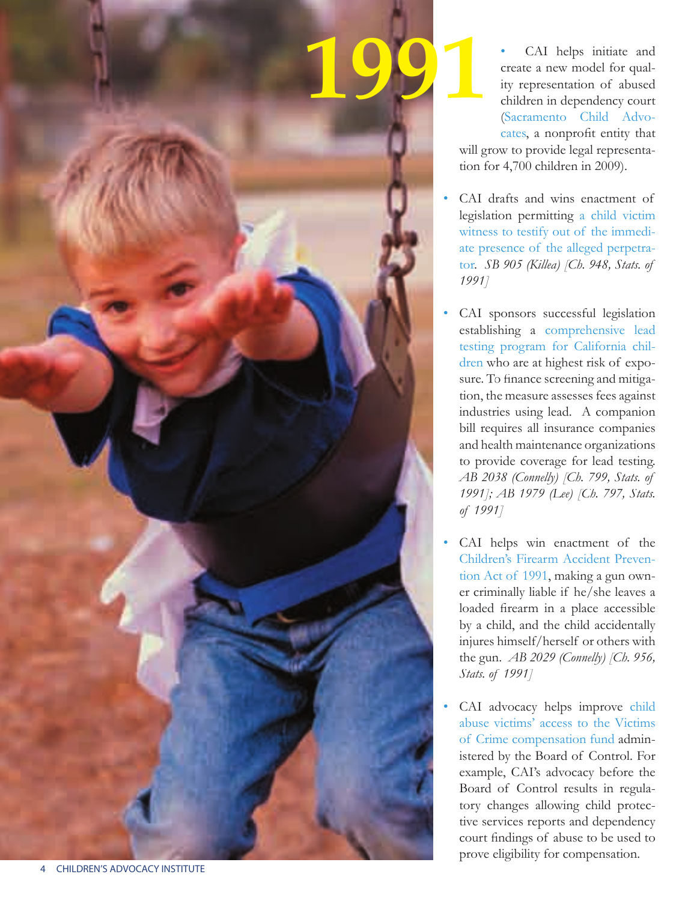

CAI helps initiate and create a new model for quality representation of abused children in dependency court (Sacramento Child Advocates, a nonprofit entity that will grow to provide legal representation for 4,700 children in 2009).

- CAI drafts and wins enactment of legislation permitting a child victim witness to testify out of the immediate presence of the alleged perpetrator. *SB 905 (Killea) [Ch. 948, Stats. of 1991]*
- CAI sponsors successful legislation establishing a comprehensive lead testing program for California children who are at highest risk of exposure. To finance screening and mitigation, the measure assesses fees against industries using lead. A companion bill requires all insurance companies and health maintenance organizations to provide coverage for lead testing. *AB 2038 (Connelly) [Ch. 799, Stats. of 1991]; AB 1979 (Lee) [Ch. 797, Stats. of 1991]*
- CAI helps win enactment of the Children's Firearm Accident Prevention Act of 1991, making a gun owner criminally liable if he/she leaves a loaded firearm in a place accessible by a child, and the child accidentally injures himself/herself or others with the gun. *AB 2029 (Connelly) [Ch. 956, Stats. of 1991]*
- CAI advocacy helps improve child abuse victims' access to the Victims of Crime compensation fund administered by the Board of Control. For example, CAI's advocacy before the Board of Control results in regulatory changes allowing child protective services reports and dependency court findings of abuse to be used to prove eligibility for compensation.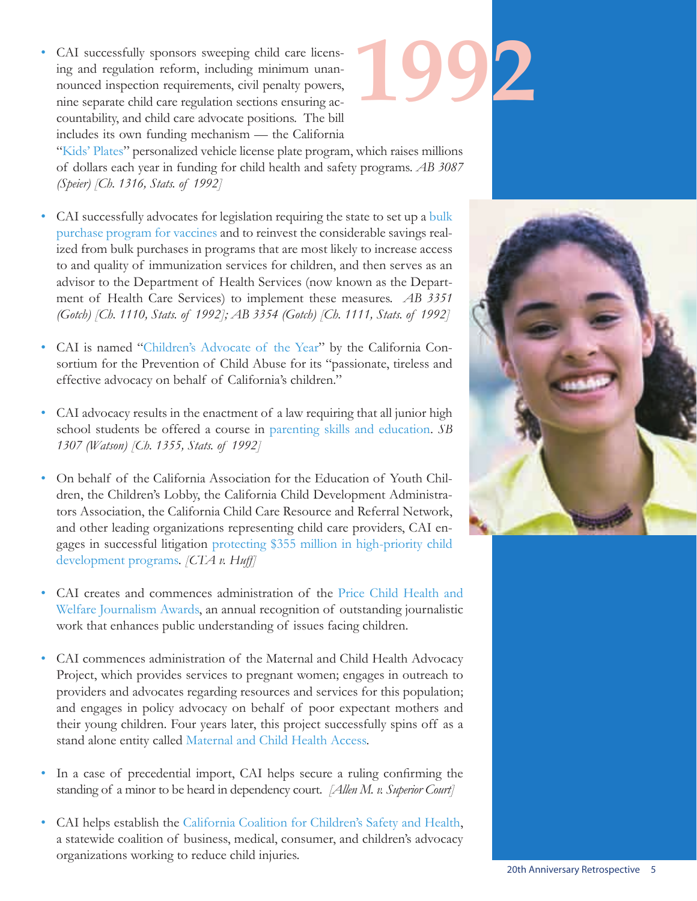• CAI successfully sponsors sweeping child care licensing and regulation reform, including minimum unannounced inspection requirements, civil penalty powers, nine separate child care regulation sections ensuring accountability, and child care advocate positions. The bill includes its own funding mechanism — the California



"Kids' Plates" personalized vehicle license plate program, which raises millions of dollars each year in funding for child health and safety programs. *AB 3087 (Speier) [Ch. 1316, Stats. of 1992]*

- CAI successfully advocates for legislation requiring the state to set up a bulk purchase program for vaccines and to reinvest the considerable savings realized from bulk purchases in programs that are most likely to increase access to and quality of immunization services for children, and then serves as an advisor to the Department of Health Services (now known as the Department of Health Care Services) to implement these measures. *AB 3351 (Gotch) [Ch. 1110, Stats. of 1992]; AB 3354 (Gotch) [Ch. 1111, Stats. of 1992]*
- CAI is named "Children's Advocate of the Year" by the California Consortium for the Prevention of Child Abuse for its "passionate, tireless and effective advocacy on behalf of California's children."
- CAI advocacy results in the enactment of a law requiring that all junior high school students be offered a course in parenting skills and education. *SB 1307 (Watson) [Ch. 1355, Stats. of 1992]*
- On behalf of the California Association for the Education of Youth Children, the Children's Lobby, the California Child Development Administrators Association, the California Child Care Resource and Referral Network, and other leading organizations representing child care providers, CAI engages in successful litigation protecting \$355 million in high-priority child development programs. *[CTA v. Huff]*
- CAI creates and commences administration of the Price Child Health and Welfare Journalism Awards, an annual recognition of outstanding journalistic work that enhances public understanding of issues facing children.
- CAI commences administration of the Maternal and Child Health Advocacy Project, which provides services to pregnant women; engages in outreach to providers and advocates regarding resources and services for this population; and engages in policy advocacy on behalf of poor expectant mothers and their young children. Four years later, this project successfully spins off as a stand alone entity called Maternal and Child Health Access.
- In a case of precedential import, CAI helps secure a ruling confirming the standing of a minor to be heard in dependency court. *[Allen M. v. Superior Court]*
- CAI helps establish the California Coalition for Children's Safety and Health, a statewide coalition of business, medical, consumer, and children's advocacy organizations working to reduce child injuries.

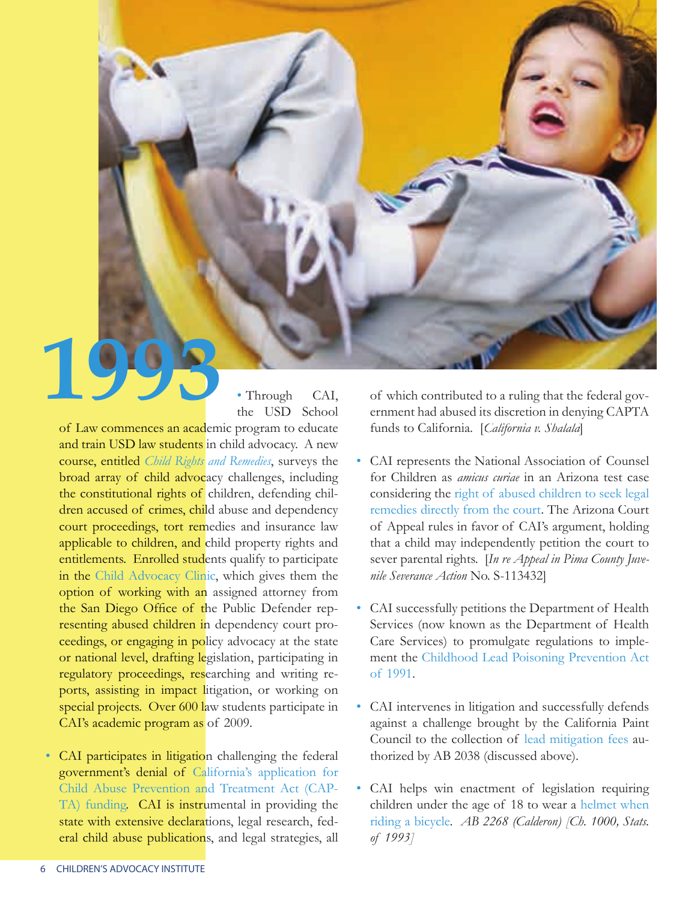

• Through CAI, the USD School

of Law commences an academic program to educate and train USD law students in child advocacy. A new course, entitled *Child Rights and Remedies*, surveys the broad array of child advocacy challenges, including the constitutional rights of children, defending children accused of crimes, child abuse and dependency court proceedings, tort remedies and insurance law applicable to children, and child property rights and entitlements. Enrolled students qualify to participate in the Child Advocacy Clinic, which gives them the option of working with an assigned attorney from the San Diego Office of the Public Defender representing abused children in dependency court proceedings, or engaging in policy advocacy at the state or national level, drafting legislation, participating in regulatory proceedings, researching and writing reports, assisting in impact litigation, or working on special projects. Over 600 law students participate in CAI's academic program as of 2009.

• CAI participates in litigation challenging the federal government's denial of California's application for Child Abuse Prevention and Treatment Act (CAP-TA) funding. CAI is instrumental in providing the state with extensive declarations, legal research, federal child abuse publications, and legal strategies, all of which contributed to a ruling that the federal government had abused its discretion in denying CAPTA funds to California. [*California v. Shalala*]

- CAI represents the National Association of Counsel for Children as *amicus curiae* in an Arizona test case considering the right of abused children to seek legal remedies directly from the court. The Arizona Court of Appeal rules in favor of CAI's argument, holding that a child may independently petition the court to sever parental rights. [In re Appeal in Pima County Juve*nile Severance Action* No. S-113432]
- CAI successfully petitions the Department of Health Services (now known as the Department of Health Care Services) to promulgate regulations to implement the Childhood Lead Poisoning Prevention Act of 1991.
- CAI intervenes in litigation and successfully defends against a challenge brought by the California Paint Council to the collection of lead mitigation fees authorized by AB 2038 (discussed above).
- CAI helps win enactment of legislation requiring children under the age of 18 to wear a helmet when riding a bicycle. *AB 2268 (Calderon) [Ch. 1000, Stats. of 1993]*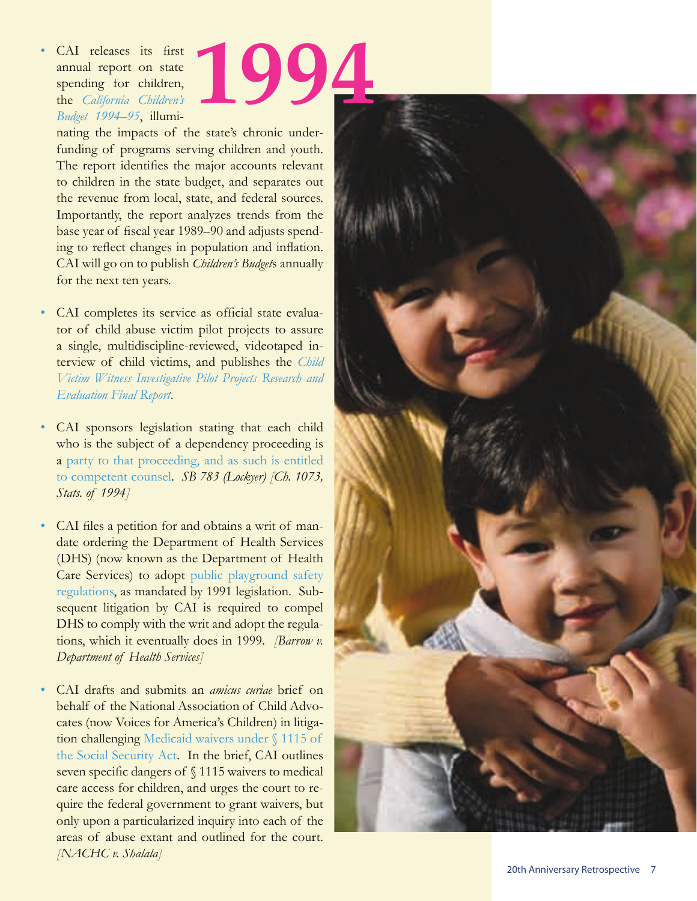#### CAI releases its first annual report on state spending for children, the *California Children's Budget 1994–95*, illumi-**1994**

nating the impacts of the state's chronic underfunding of programs serving children and youth. The report identifies the major accounts relevant to children in the state budget, and separates out the revenue from local, state, and federal sources. Importantly, the report analyzes trends from the base year of fiscal year 1989–90 and adjusts spending to reflect changes in population and inflation. CAI will go on to publish *Children's Budget*s annually for the next ten years.

- CAI completes its service as official state evaluator of child abuse victim pilot projects to assure a single, multidiscipline-reviewed, videotaped interview of child victims, and publishes the *Child Victim Witness Investigative Pilot Projects Research and Evaluation Final Report.*
- CAI sponsors legislation stating that each child who is the subject of a dependency proceeding is a party to that proceeding, and as such is entitled to competent counsel. *SB 783 (Lockyer) [Ch. 1073, Stats. of 1994]*
- CAI files a petition for and obtains a writ of mandate ordering the Department of Health Services (DHS) (now known as the Department of Health Care Services) to adopt public playground safety regulations, as mandated by 1991 legislation. Subsequent litigation by CAI is required to compel DHS to comply with the writ and adopt the regulations, which it eventually does in 1999. *[Barrow v. Department of Health Services]*
- CAI drafts and submits an *amicus curiae* brief on behalf of the National Association of Child Advocates (now Voices for America's Children) in litigation challenging Medicaid waivers under § 1115 of the Social Security Act. In the brief, CAI outlines seven specific dangers of  $\sqrt{1115}$  waivers to medical care access for children, and urges the court to require the federal government to grant waivers, but only upon a particularized inquiry into each of the areas of abuse extant and outlined for the court. *[NACHC v. Shalala]*

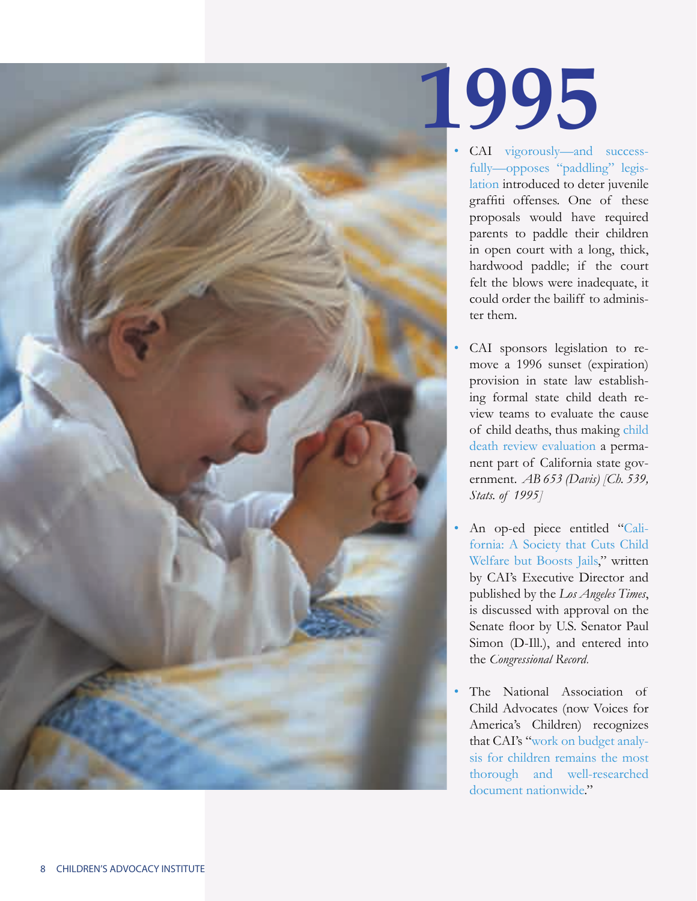

- CAI vigorously—and successfully—opposes "paddling" legislation introduced to deter juvenile graffiti offenses. One of these proposals would have required parents to paddle their children in open court with a long, thick, hardwood paddle; if the court felt the blows were inadequate, it could order the bailiff to administer them.
- CAI sponsors legislation to remove a 1996 sunset (expiration) provision in state law establishing formal state child death review teams to evaluate the cause of child deaths, thus making child death review evaluation a permanent part of California state government. *AB 653 (Davis) [Ch. 539, Stats. of 1995]*
- An op-ed piece entitled "California: A Society that Cuts Child Welfare but Boosts Jails," written by CAI's Executive Director and published by the *Los Angeles Times*, is discussed with approval on the Senate floor by U.S. Senator Paul Simon (D-Ill.), and entered into the *Congressional Record*.
- The National Association of Child Advocates (now Voices for America's Children) recognizes that CAI's "work on budget analysis for children remains the most thorough and well-researched document nationwide."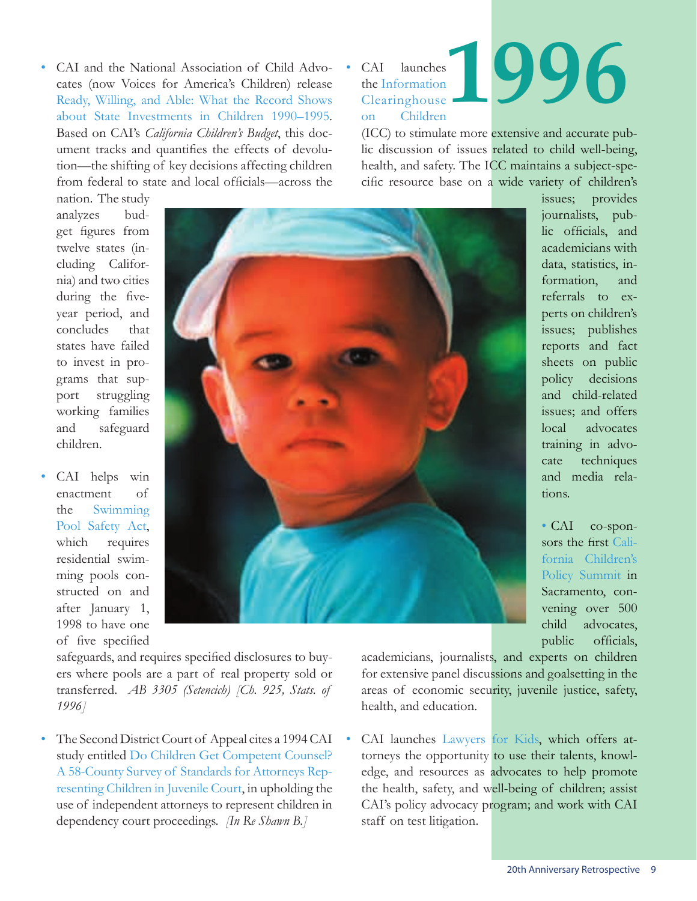• CAI and the National Association of Child Advocates (now Voices for America's Children) release Ready, Willing, and Able: What the Record Shows about State Investments in Children 1990–1995. Based on CAI's *California Children's Budget*, this document tracks and quantifies the effects of devolution—the shifting of key decisions affecting children from federal to state and local officials—across the

CAI launches the Information Clearinghouse on Children

### **1996**

(ICC) to stimulate more extensive and accurate public discussion of issues related to child well-being, health, and safety. The ICC maintains a subject-specific resource base on a wide variety of children's

nation. The study analyzes budget figures from twelve states (including California) and two cities during the fiveyear period, and concludes that states have failed to invest in programs that support struggling working families and safeguard children.

• CAI helps win enactment of the Swimming Pool Safety Act, which requires residential swimming pools constructed on and after January 1, 1998 to have one of five specified



safeguards, and requires specified disclosures to buyers where pools are a part of real property sold or transferred. *AB 3305 (Setencich) [Ch. 925, Stats. of 1996]*

• The Second District Court of Appeal cites a 1994 CAI study entitled Do Children Get Competent Counsel? A 58-County Survey of Standards for Attorneys Representing Children in Juvenile Court, in upholding the use of independent attorneys to represent children in dependency court proceedings. *[In Re Shawn B.]*

issues; provides journalists, public officials, and academicians with data, statistics, information, and referrals to experts on children's issues; publishes reports and fact sheets on public policy decisions and child-related issues; and offers local advocates training in advocate techniques and media relations.

• CAI co-sponsors the first California Children's Policy Summit in Sacramento, convening over 500 child advocates, public officials,

academicians, journalists, and experts on children for extensive panel discussions and goalsetting in the areas of economic security, juvenile justice, safety, health, and education.

CAI launches Lawyers for Kids, which offers attorneys the opportunity to use their talents, knowledge, and resources as advocates to help promote the health, safety, and well-being of children; assist CAI's policy advocacy program; and work with CAI staff on test litigation.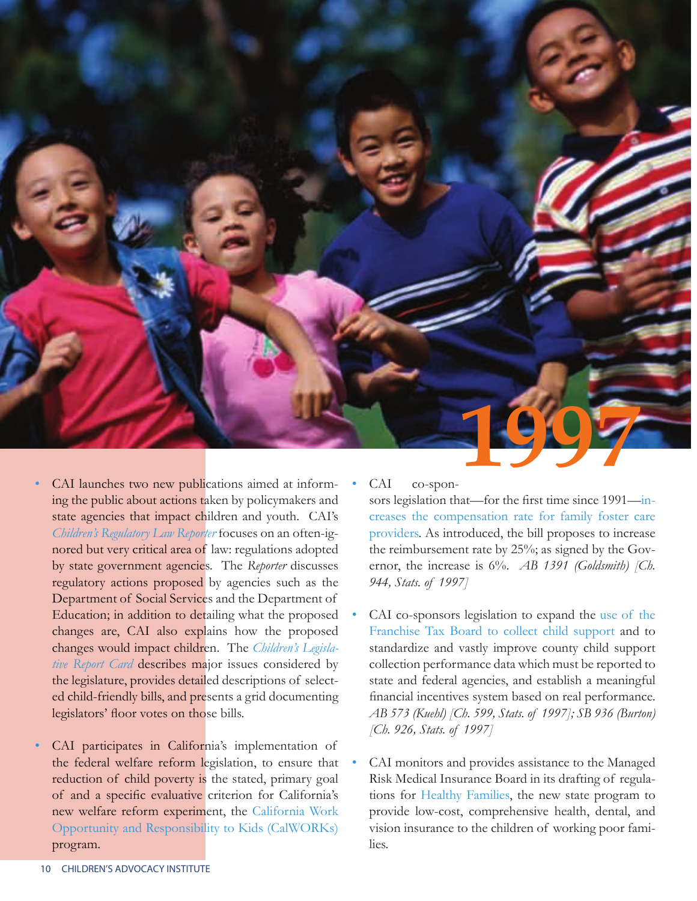

- CAI launches two new publications aimed at informing the public about actions taken by policymakers and state agencies that impact children and youth. CAI's *Children's Regulatory Law Reporter* focuses on an often-ignored but very critical area of law: regulations adopted by state government agencies. The *Reporter* discusses regulatory actions proposed by agencies such as the Department of Social Services and the Department of Education; in addition to detailing what the proposed changes are, CAI also explains how the proposed changes would impact children. The *Children's Legislative Report Card* describes major issues considered by the legislature, provides detailed descriptions of selected child-friendly bills, and presents a grid documenting legislators' floor votes on those bills.
- CAI participates in California's implementation of the federal welfare reform legislation, to ensure that reduction of child poverty is the stated, primary goal of and a specific evaluative criterion for California's new welfare reform experiment, the California Work Opportunity and Responsibility to Kids (CalWORKs) program.

#### CAI co-spon-

sors legislation that—for the first time since 1991—increases the compensation rate for family foster care providers. As introduced, the bill proposes to increase the reimbursement rate by 25%; as signed by the Governor, the increase is 6%. *AB 1391 (Goldsmith) [Ch. 944, Stats. of 1997]*

- CAI co-sponsors legislation to expand the use of the Franchise Tax Board to collect child support and to standardize and vastly improve county child support collection performance data which must be reported to state and federal agencies, and establish a meaningful financial incentives system based on real performance. *AB 573 (Kuehl) [Ch. 599, Stats. of 1997]; SB 936 (Burton) [Ch. 926, Stats. of 1997]*
- CAI monitors and provides assistance to the Managed Risk Medical Insurance Board in its drafting of regulations for Healthy Families, the new state program to provide low-cost, comprehensive health, dental, and vision insurance to the children of working poor families.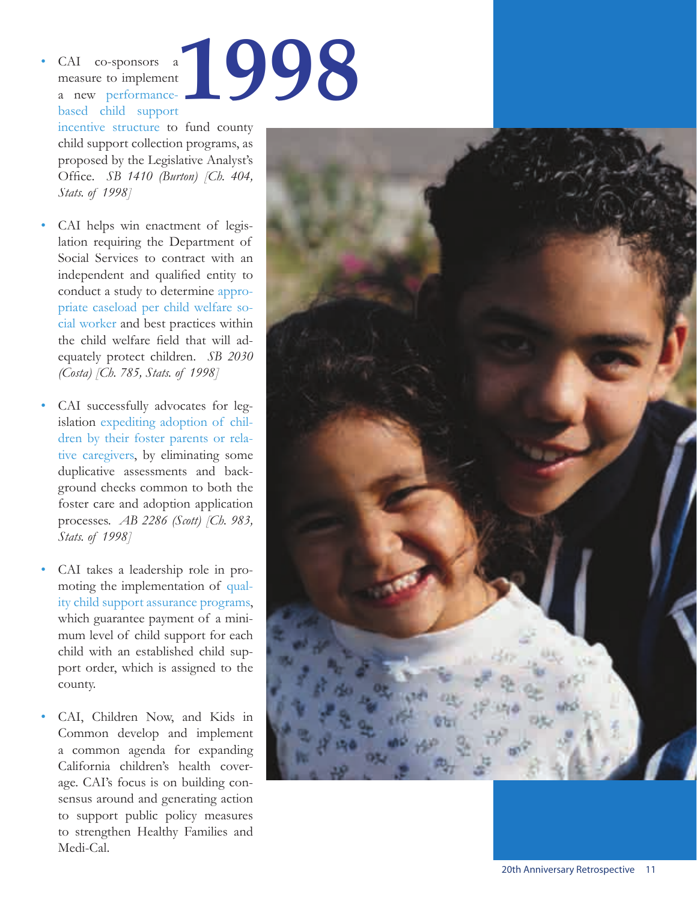• CAI co-sponsors a measure to implement a new performancebased child support **1998**

incentive structure to fund county child support collection programs, as proposed by the Legislative Analyst's Office. *SB 1410 (Burton) [Ch. 404, Stats. of 1998]*

- CAI helps win enactment of legislation requiring the Department of Social Services to contract with an independent and qualified entity to conduct a study to determine appropriate caseload per child welfare social worker and best practices within the child welfare field that will adequately protect children. *SB 2030 (Costa) [Ch. 785, Stats. of 1998]*
- CAI successfully advocates for legislation expediting adoption of children by their foster parents or relative caregivers, by eliminating some duplicative assessments and background checks common to both the foster care and adoption application processes. *AB 2286 (Scott) [Ch. 983, Stats. of 1998]*
- CAI takes a leadership role in promoting the implementation of quality child support assurance programs, which guarantee payment of a minimum level of child support for each child with an established child support order, which is assigned to the county.
- CAI, Children Now, and Kids in Common develop and implement a common agenda for expanding California children's health coverage. CAI's focus is on building consensus around and generating action to support public policy measures to strengthen Healthy Families and Medi-Cal.

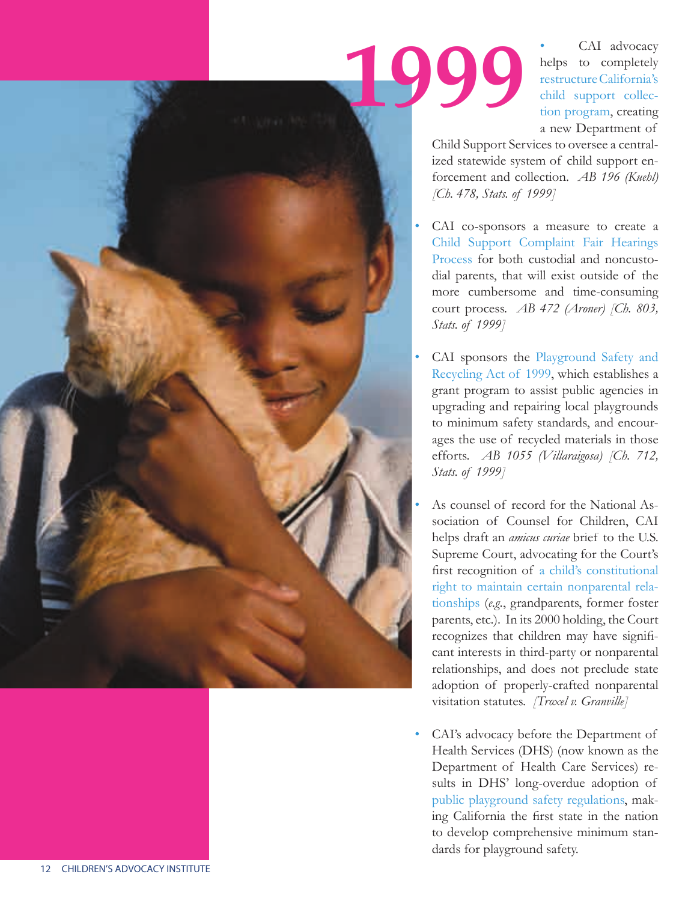CAI advocacy helps to completely restructure California's child support collection program, creating a new Department of

Child Support Services to oversee a centralized statewide system of child support enforcement and collection. *AB 196 (Kuehl) [Ch. 478, Stats. of 1999]* 

**1999**

- CAI co-sponsors a measure to create a Child Support Complaint Fair Hearings Process for both custodial and noncustodial parents, that will exist outside of the more cumbersome and time-consuming court process. *AB 472 (Aroner) [Ch. 803, Stats. of 1999]*
- CAI sponsors the Playground Safety and Recycling Act of 1999, which establishes a grant program to assist public agencies in upgrading and repairing local playgrounds to minimum safety standards, and encourages the use of recycled materials in those efforts. *AB 1055 (Villaraigosa) [Ch. 712, Stats. of 1999]*
- As counsel of record for the National Association of Counsel for Children, CAI helps draft an *amicus curiae* brief to the U.S. Supreme Court, advocating for the Court's first recognition of a child's constitutional right to maintain certain nonparental relationships (*e.g.*, grandparents, former foster parents, etc.). In its 2000 holding, the Court recognizes that children may have significant interests in third-party or nonparental relationships, and does not preclude state adoption of properly-crafted nonparental visitation statutes. *[Troxel v. Granville]*
- CAI's advocacy before the Department of Health Services (DHS) (now known as the Department of Health Care Services) results in DHS' long-overdue adoption of public playground safety regulations, making California the first state in the nation to develop comprehensive minimum standards for playground safety.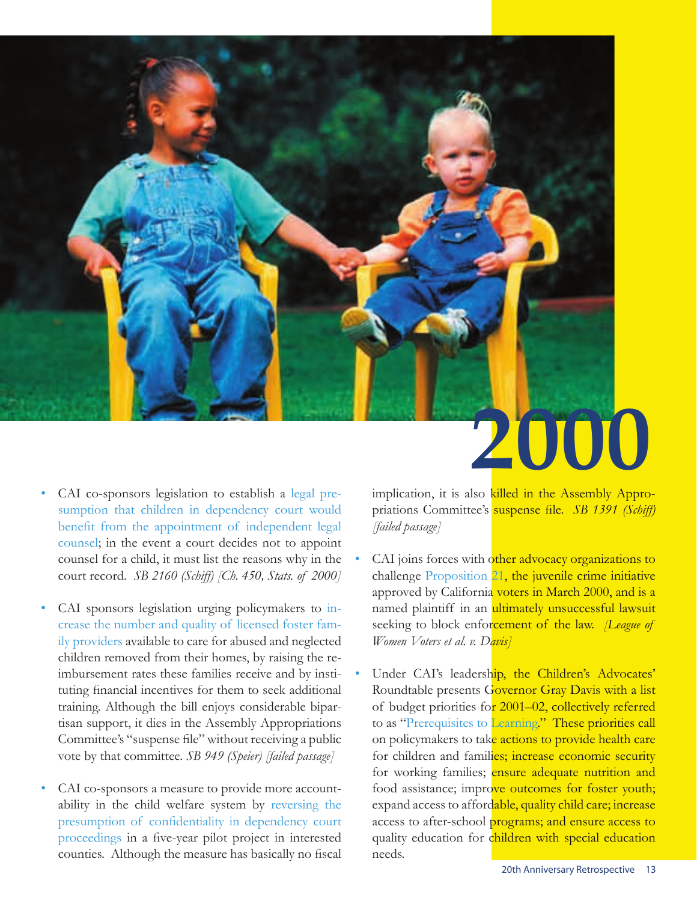

- CAI co-sponsors legislation to establish a legal presumption that children in dependency court would benefit from the appointment of independent legal counsel; in the event a court decides not to appoint counsel for a child, it must list the reasons why in the court record. *SB 2160 (Schiff) [Ch. 450, Stats. of 2000]*
- CAI sponsors legislation urging policymakers to increase the number and quality of licensed foster family providers available to care for abused and neglected children removed from their homes, by raising the reimbursement rates these families receive and by instituting financial incentives for them to seek additional training. Although the bill enjoys considerable bipartisan support, it dies in the Assembly Appropriations Committee's "suspense file" without receiving a public vote by that committee. *SB 949 (Speier) [failed passage]*
- CAI co-sponsors a measure to provide more accountability in the child welfare system by reversing the presumption of confidentiality in dependency court proceedings in a five-year pilot project in interested counties. Although the measure has basically no fiscal

implication, it is also killed in the Assembly Appropriations Committee's **suspense file.** *SB 1391 (Schiff) [failed passage]*

- CAI joins forces with other advocacy organizations to challenge Proposition 21, the juvenile crime initiative approved by California voters in March 2000, and is a named plaintiff in an ultimately unsuccessful lawsuit seeking to block enforcement of the law. *[League of Women Voters et al. v. Davis]*
- Under CAI's leadership, the Children's Advocates' Roundtable presents Governor Gray Davis with a list of budget priorities for 2001-02, collectively referred to as "Prerequisites to Learning." These priorities call on policymakers to take actions to provide health care for children and families; increase economic security for working families; ensure adequate nutrition and food assistance; improve outcomes for foster youth; expand access to affordable, quality child care; increase access to after-school programs; and ensure access to quality education for children with special education needs.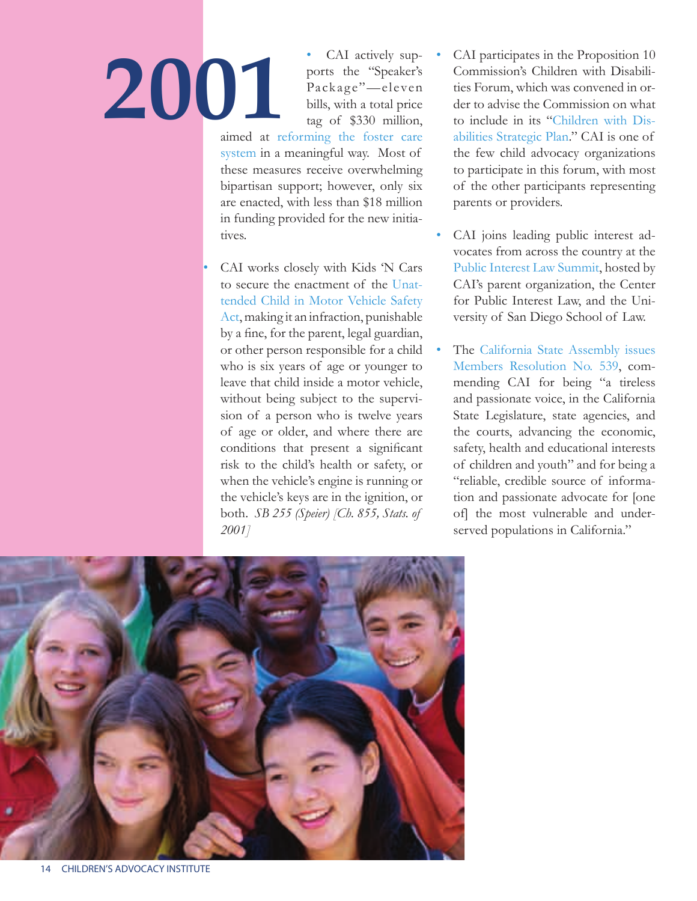CAI actively supports the "Speaker's Package"—eleven bills, with a total price tag of \$330 million, **2001**

aimed at reforming the foster care system in a meaningful way. Most of these measures receive overwhelming bipartisan support; however, only six are enacted, with less than \$18 million in funding provided for the new initiatives.

• CAI works closely with Kids 'N Cars to secure the enactment of the Unattended Child in Motor Vehicle Safety Act, making it an infraction, punishable by a fine, for the parent, legal guardian, or other person responsible for a child who is six years of age or younger to leave that child inside a motor vehicle, without being subject to the supervision of a person who is twelve years of age or older, and where there are conditions that present a significant risk to the child's health or safety, or when the vehicle's engine is running or the vehicle's keys are in the ignition, or both. *SB 255 (Speier) [Ch. 855, Stats. of 2001]*

- CAI participates in the Proposition 10 Commission's Children with Disabilities Forum, which was convened in order to advise the Commission on what to include in its "Children with Disabilities Strategic Plan." CAI is one of the few child advocacy organizations to participate in this forum, with most of the other participants representing parents or providers.
- CAI joins leading public interest advocates from across the country at the Public Interest Law Summit, hosted by CAI's parent organization, the Center for Public Interest Law, and the University of San Diego School of Law.
- The California State Assembly issues Members Resolution No. 539, commending CAI for being "a tireless and passionate voice, in the California State Legislature, state agencies, and the courts, advancing the economic, safety, health and educational interests of children and youth" and for being a "reliable, credible source of information and passionate advocate for [one of] the most vulnerable and underserved populations in California."

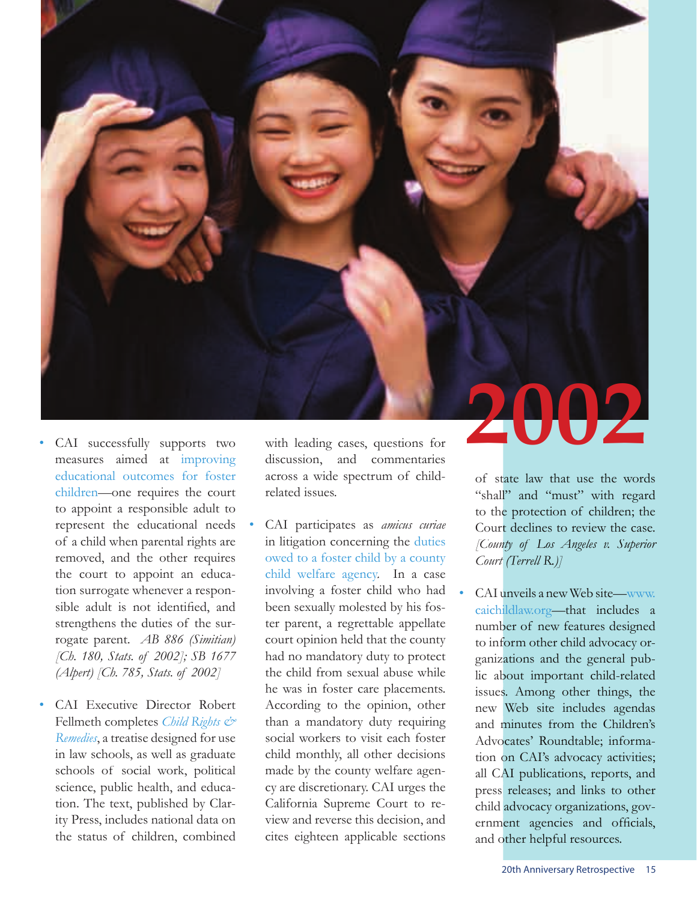

- CAI successfully supports two measures aimed at improving educational outcomes for foster children—one requires the court to appoint a responsible adult to represent the educational needs of a child when parental rights are removed, and the other requires the court to appoint an education surrogate whenever a responsible adult is not identified, and strengthens the duties of the surrogate parent. *AB 886 (Simitian) [Ch. 180, Stats. of 2002]; SB 1677 (Alpert) [Ch. 785, Stats. of 2002]*
- CAI Executive Director Robert Fellmeth completes *Child Rights & Remedies*, a treatise designed for use in law schools, as well as graduate schools of social work, political science, public health, and education. The text, published by Clarity Press, includes national data on the status of children, combined

with leading cases, questions for discussion, and commentaries across a wide spectrum of childrelated issues.

• CAI participates as *amicus curiae*  in litigation concerning the duties owed to a foster child by a county child welfare agency. In a case involving a foster child who had been sexually molested by his foster parent, a regrettable appellate court opinion held that the county had no mandatory duty to protect the child from sexual abuse while he was in foster care placements. According to the opinion, other than a mandatory duty requiring social workers to visit each foster child monthly, all other decisions made by the county welfare agency are discretionary. CAI urges the California Supreme Court to review and reverse this decision, and cites eighteen applicable sections

of state law that use the words **2002**

"shall" and "must" with regard to the protection of children; the Court declines to review the case. *[County of Los Angeles v. Superior Court (Terrell R.)]*

• CAI unveils a new Web site—www. caichildlaw.org—that includes a number of new features designed to inform other child advocacy organizations and the general public about important child-related issues. Among other things, the new Web site includes agendas and minutes from the Children's Advocates' Roundtable; information on CAI's advocacy activities; all CAI publications, reports, and press releases; and links to other child advocacy organizations, government agencies and officials, and other helpful resources.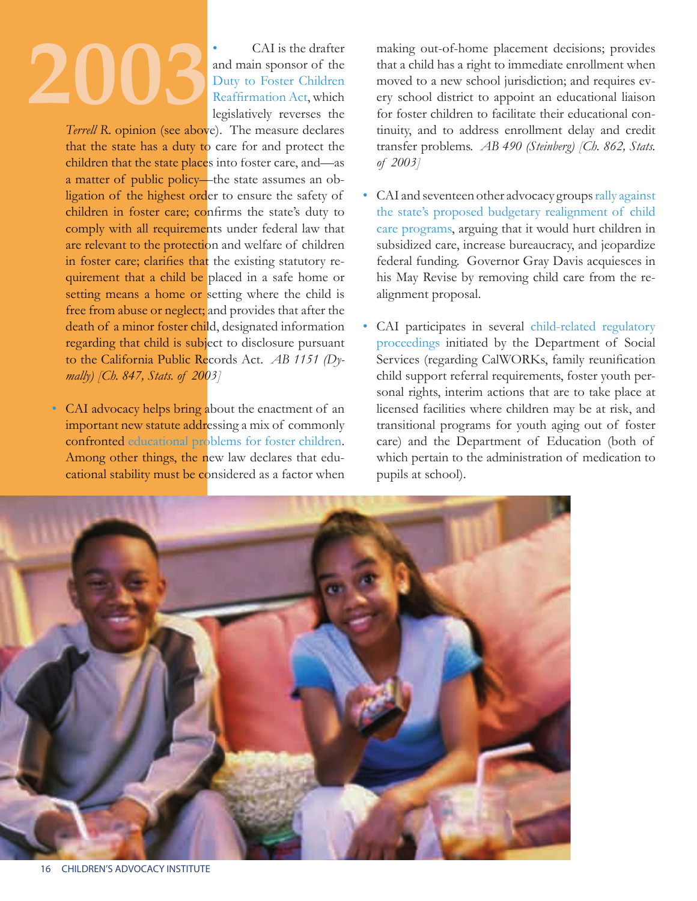• CAI is the drafter and main sponsor of the Duty to Foster Children Reaffirmation Act, which legislatively reverses the

*Terrell R*. opinion (see above). The measure declares that the state has a duty to care for and protect the children that the state places into foster care, and—as a matter of public policy—the state assumes an obligation of the highest order to ensure the safety of children in foster care; confirms the state's duty to comply with all requirements under federal law that are relevant to the protection and welfare of children in foster care; clarifies that the existing statutory requirement that a child be placed in a safe home or setting means a home or setting where the child is free from abuse or neglect; and provides that after the death of a minor foster child, designated information regarding that child is subject to disclosure pursuant to the California Public Records Act. *AB 1151 (Dymally) [Ch. 847, Stats. of 2003]* 

• CAI advocacy helps bring about the enactment of an important new statute addressing a mix of commonly confronted educational problems for foster children. Among other things, the new law declares that educational stability must be considered as a factor when making out-of-home placement decisions; provides that a child has a right to immediate enrollment when moved to a new school jurisdiction; and requires every school district to appoint an educational liaison for foster children to facilitate their educational continuity, and to address enrollment delay and credit transfer problems. *AB 490 (Steinberg) [Ch. 862, Stats. of 2003]*

- CAI and seventeen other advocacy groups rally against the state's proposed budgetary realignment of child care programs, arguing that it would hurt children in subsidized care, increase bureaucracy, and jeopardize federal funding. Governor Gray Davis acquiesces in his May Revise by removing child care from the realignment proposal.
- CAI participates in several child-related regulatory proceedings initiated by the Department of Social Services (regarding CalWORKs, family reunification child support referral requirements, foster youth personal rights, interim actions that are to take place at licensed facilities where children may be at risk, and transitional programs for youth aging out of foster care) and the Department of Education (both of which pertain to the administration of medication to pupils at school).

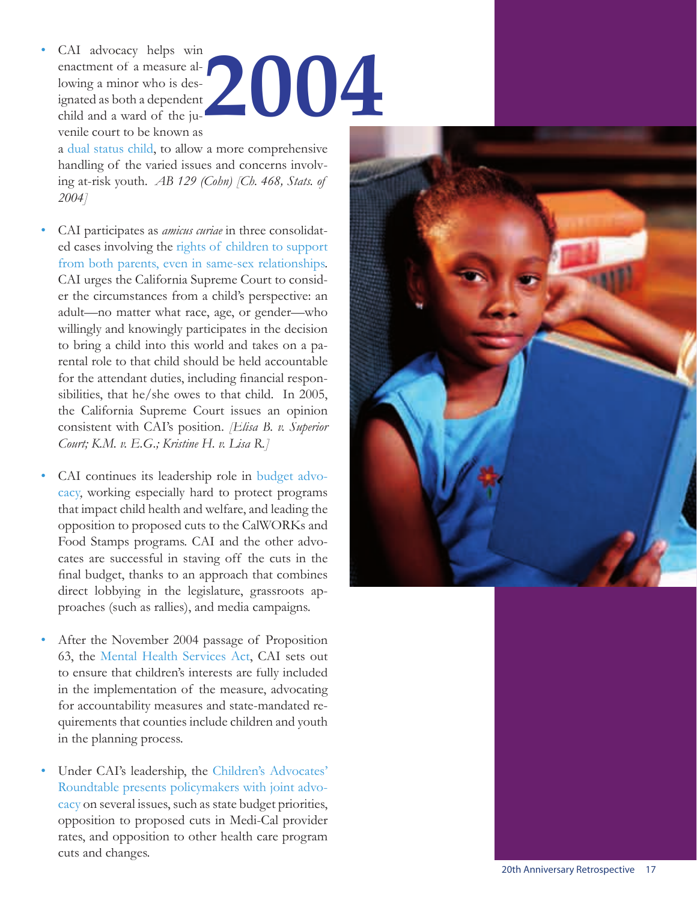CAI advocacy helps win enactment of a measure allowing a minor who is designated as both a dependent child and a ward of the juvenile court to be known as **2004**

a dual status child, to allow a more comprehensive handling of the varied issues and concerns involving at-risk youth. *AB 129 (Cohn) [Ch. 468, Stats. of 2004]*

- CAI participates as *amicus curiae* in three consolidated cases involving the rights of children to support from both parents, even in same-sex relationships. CAI urges the California Supreme Court to consider the circumstances from a child's perspective: an adult—no matter what race, age, or gender—who willingly and knowingly participates in the decision to bring a child into this world and takes on a parental role to that child should be held accountable for the attendant duties, including financial responsibilities, that he/she owes to that child. In 2005, the California Supreme Court issues an opinion consistent with CAI's position. *[Elisa B. v. Superior Court; K.M. v. E.G.; Kristine H. v. Lisa R.]*
- CAI continues its leadership role in budget advocacy, working especially hard to protect programs that impact child health and welfare, and leading the opposition to proposed cuts to the CalWORKs and Food Stamps programs. CAI and the other advocates are successful in staving off the cuts in the final budget, thanks to an approach that combines direct lobbying in the legislature, grassroots approaches (such as rallies), and media campaigns.
- After the November 2004 passage of Proposition 63, the Mental Health Services Act, CAI sets out to ensure that children's interests are fully included in the implementation of the measure, advocating for accountability measures and state-mandated requirements that counties include children and youth in the planning process.
- Under CAI's leadership, the Children's Advocates' Roundtable presents policymakers with joint advocacy on several issues, such as state budget priorities, opposition to proposed cuts in Medi-Cal provider rates, and opposition to other health care program cuts and changes.

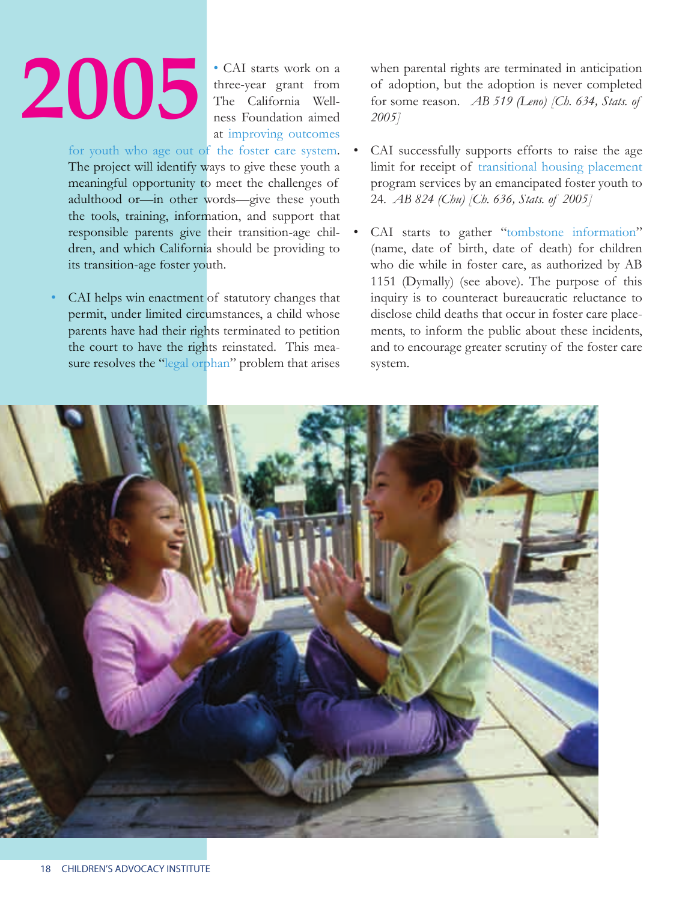• CAI starts work on a three-year grant from The California Wellness Foundation aimed at improving outcomes

for youth who age out of the foster care system. The project will identify ways to give these youth a meaningful opportunity to meet the challenges of adulthood or—in other words—give these youth the tools, training, information, and support that responsible parents give their transition-age children, and which California should be providing to its transition-age foster youth.

CAI helps win enactment of statutory changes that permit, under limited circumstances, a child whose parents have had their rights terminated to petition the court to have the rights reinstated. This measure resolves the "legal orphan" problem that arises when parental rights are terminated in anticipation of adoption, but the adoption is never completed for some reason. *AB 519 (Leno) [Ch. 634, Stats. of 2005]*

- CAI successfully supports efforts to raise the age limit for receipt of transitional housing placement program services by an emancipated foster youth to 24. *AB 824 (Chu) [Ch. 636, Stats. of 2005]*
- CAI starts to gather "tombstone information" (name, date of birth, date of death) for children who die while in foster care, as authorized by AB 1151 (Dymally) (see above). The purpose of this inquiry is to counteract bureaucratic reluctance to disclose child deaths that occur in foster care placements, to inform the public about these incidents, and to encourage greater scrutiny of the foster care system.

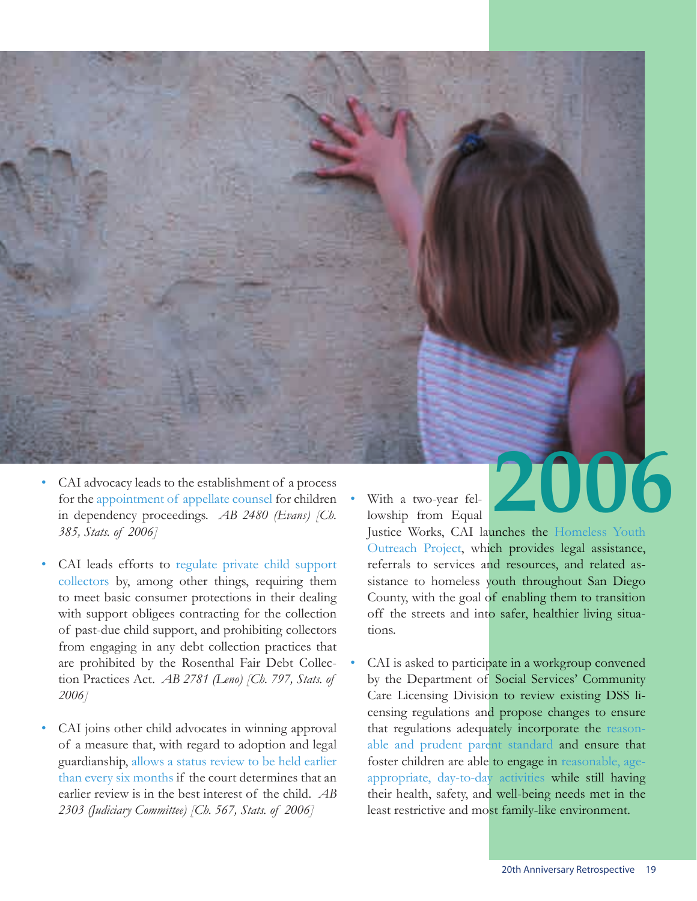![](_page_21_Picture_0.jpeg)

- CAI leads efforts to regulate private child support collectors by, among other things, requiring them to meet basic consumer protections in their dealing with support obligees contracting for the collection of past-due child support, and prohibiting collectors from engaging in any debt collection practices that are prohibited by the Rosenthal Fair Debt Collection Practices Act. *AB 2781 (Leno) [Ch. 797, Stats. of 2006]*
- CAI joins other child advocates in winning approval of a measure that, with regard to adoption and legal guardianship, allows a status review to be held earlier than every six months if the court determines that an earlier review is in the best interest of the child. *AB 2303 (Judiciary Committee) [Ch. 567, Stats. of 2006]*

• With a two-year fellowship from Equal

Justice Works, CAI launches the Homeless Youth Outreach Project, which provides legal assistance, referrals to services and resources, and related assistance to homeless youth throughout San Diego County, with the goal of enabling them to transition off the streets and into safer, healthier living situations.

CAI is asked to participate in a workgroup convened by the Department of Social Services' Community Care Licensing Division to review existing DSS licensing regulations and propose changes to ensure that regulations adequately incorporate the reasonable and prudent parent standard and ensure that foster children are able to engage in reasonable, ageappropriate, day-to-day activities while still having their health, safety, and well-being needs met in the least restrictive and most family-like environment.

20th Anniversary Retrospective 19

**2006**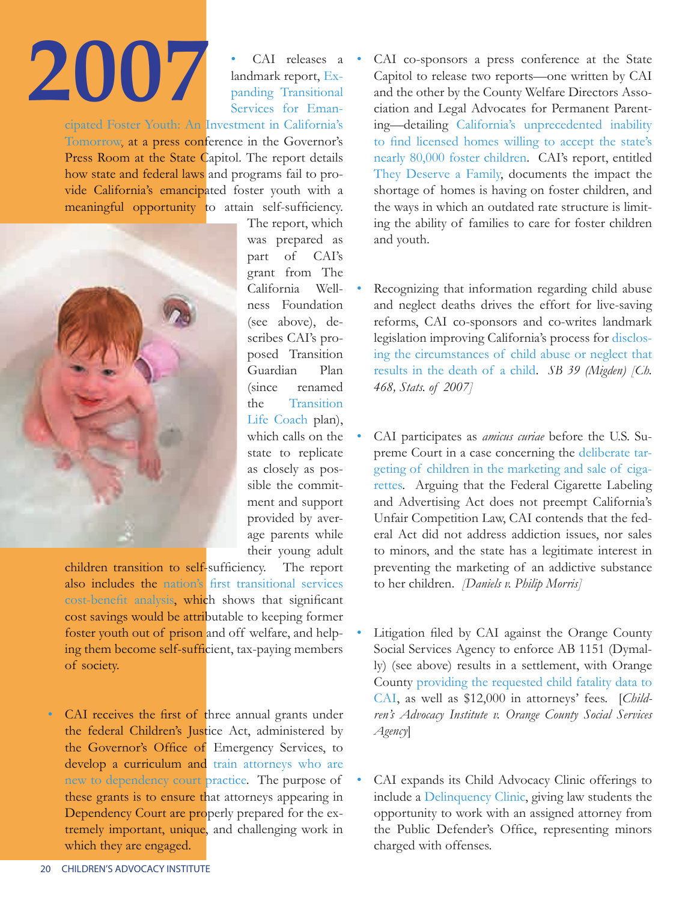Services for Emancipated Foster Youth: An Investment in California's Tomorrow, at a press conference in the Governor's Press Room at the State Capitol. The report details how state and federal laws and programs fail to provide California's emancipated foster youth with a meaningful opportunity to attain self-sufficiency.

![](_page_22_Picture_2.jpeg)

The report, which was prepared as part of CAI's grant from The California Wellness Foundation (see above), describes CAI's proposed Transition Guardian Plan (since renamed the Transition Life Coach plan), which calls on the state to replicate as closely as possible the commitment and support provided by average parents while their young adult

CAI releases a landmark report, Expanding Transitional

children transition to self-sufficiency. The report also includes the nation's first transitional services cost-benefit analysis, which shows that significant cost savings would be attributable to keeping former foster youth out of prison and off welfare, and helping them become self-sufficient, tax-paying members of society.

CAI receives the first of three annual grants under the federal Children's Justice Act, administered by the Governor's Office of Emergency Services, to develop a curriculum and train attorneys who are new to dependency court practice. The purpose of these grants is to ensure that attorneys appearing in Dependency Court are properly prepared for the extremely important, unique, and challenging work in which they are engaged.

- CAI co-sponsors a press conference at the State Capitol to release two reports—one written by CAI and the other by the County Welfare Directors Association and Legal Advocates for Permanent Parenting—detailing California's unprecedented inability to find licensed homes willing to accept the state's nearly 80,000 foster children. CAI's report, entitled They Deserve a Family, documents the impact the shortage of homes is having on foster children, and the ways in which an outdated rate structure is limiting the ability of families to care for foster children and youth.
- Recognizing that information regarding child abuse and neglect deaths drives the effort for live-saving reforms, CAI co-sponsors and co-writes landmark legislation improving California's process for disclosing the circumstances of child abuse or neglect that results in the death of a child. *SB 39 (Migden) [Ch. 468, Stats. of 2007]*
- CAI participates as *amicus curiae* before the U.S. Supreme Court in a case concerning the deliberate targeting of children in the marketing and sale of cigarettes. Arguing that the Federal Cigarette Labeling and Advertising Act does not preempt California's Unfair Competition Law, CAI contends that the federal Act did not address addiction issues, nor sales to minors, and the state has a legitimate interest in preventing the marketing of an addictive substance to her children. *[Daniels v. Philip Morris]*
- Litigation filed by CAI against the Orange County Social Services Agency to enforce AB 1151 (Dymally) (see above) results in a settlement, with Orange County providing the requested child fatality data to CAI, as well as \$12,000 in attorneys' fees. [*Children's Advocacy Institute v. Orange County Social Services Agency*]
- CAI expands its Child Advocacy Clinic offerings to include a Delinquency Clinic, giving law students the opportunity to work with an assigned attorney from the Public Defender's Office, representing minors charged with offenses.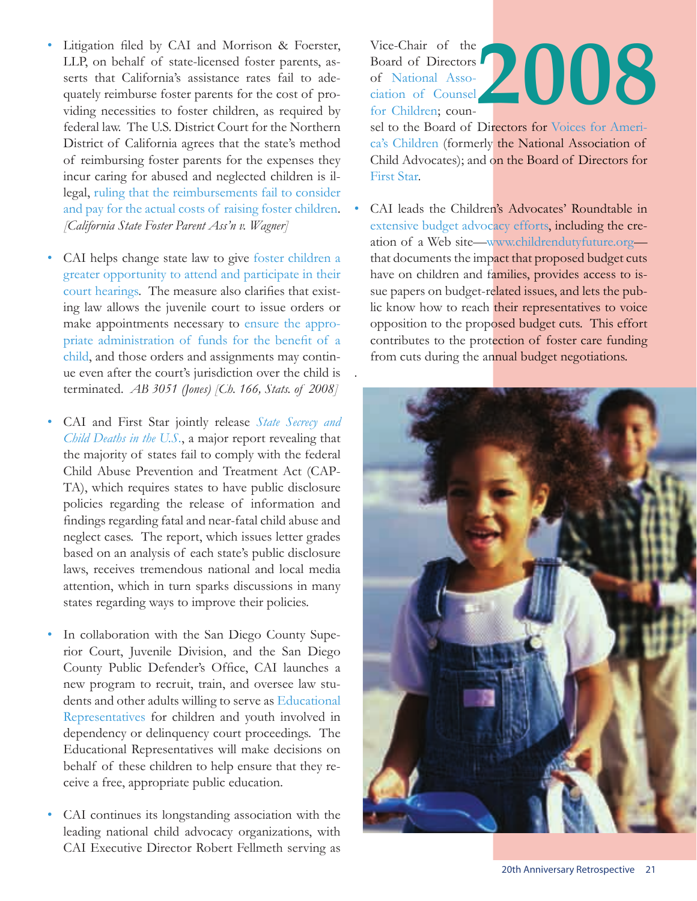- Litigation filed by CAI and Morrison & Foerster, LLP, on behalf of state-licensed foster parents, asserts that California's assistance rates fail to adequately reimburse foster parents for the cost of providing necessities to foster children, as required by federal law. The U.S. District Court for the Northern District of California agrees that the state's method of reimbursing foster parents for the expenses they incur caring for abused and neglected children is illegal, ruling that the reimbursements fail to consider and pay for the actual costs of raising foster children. *[California State Foster Parent Ass'n v. Wagner]*
- CAI helps change state law to give foster children a greater opportunity to attend and participate in their court hearings. The measure also clarifies that existing law allows the juvenile court to issue orders or make appointments necessary to ensure the appropriate administration of funds for the benefit of a child, and those orders and assignments may continue even after the court's jurisdiction over the child is terminated. *AB 3051 (Jones) [Ch. 166, Stats. of 2008]*
- CAI and First Star jointly release *State Secrecy and Child Deaths in the U.S.*, a major report revealing that the majority of states fail to comply with the federal Child Abuse Prevention and Treatment Act (CAP-TA), which requires states to have public disclosure policies regarding the release of information and findings regarding fatal and near-fatal child abuse and neglect cases. The report, which issues letter grades based on an analysis of each state's public disclosure laws, receives tremendous national and local media attention, which in turn sparks discussions in many states regarding ways to improve their policies.
- In collaboration with the San Diego County Superior Court, Juvenile Division, and the San Diego County Public Defender's Office, CAI launches a new program to recruit, train, and oversee law students and other adults willing to serve as Educational Representatives for children and youth involved in dependency or delinquency court proceedings. The Educational Representatives will make decisions on behalf of these children to help ensure that they receive a free, appropriate public education.
- CAI continues its longstanding association with the leading national child advocacy organizations, with CAI Executive Director Robert Fellmeth serving as

Vice-Chair of the Board of Directors of National Association of Counsel for Children; coun-**2008**

sel to the Board of Directors for Voices for America's Children (formerly the National Association of Child Advocates); and on the Board of Directors for First Star.

CAI leads the Children's Advocates' Roundtable in extensive budget advocacy efforts, including the creation of a Web site—www.childrendutyfuture.org that documents the impact that proposed budget cuts have on children and families, provides access to issue papers on budget-related issues, and lets the public know how to reach their representatives to voice opposition to the proposed budget cuts. This effort contributes to the protection of foster care funding from cuts during the annual budget negotiations.

![](_page_23_Picture_8.jpeg)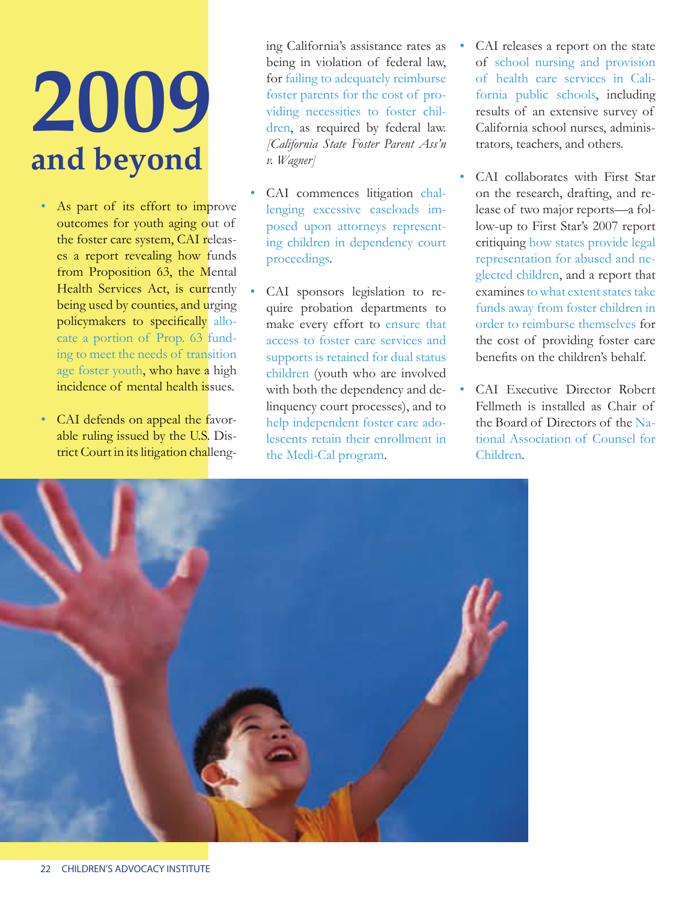### **2009 and beyond**

- As part of its effort to improve outcomes for youth aging out of the foster care system, CAI releases a report revealing how funds from Proposition 63, the Mental Health Services Act, is currently being used by counties, and urging policymakers to specifically allocate a portion of Prop. 63 funding to meet the needs of transition age foster youth, who have a high incidence of mental health issues.
- CAI defends on appeal the favorable ruling issued by the U.S. District Court in its litigation challeng-

ing California's assistance rates as being in violation of federal law, for failing to adequately reimburse foster parents for the cost of providing necessities to foster children, as required by federal law. *[California State Foster Parent Ass'n v. Wagner]*

- CAI commences litigation challenging excessive caseloads imposed upon attorneys representing children in dependency court proceedings.
- CAI sponsors legislation to require probation departments to make every effort to ensure that access to foster care services and supports is retained for dual status children (youth who are involved with both the dependency and delinquency court processes), and to help independent foster care adolescents retain their enrollment in the Medi-Cal program.
- CAI releases a report on the state of school nursing and provision of health care services in California public schools, including results of an extensive survey of California school nurses, administrators, teachers, and others.
- CAI collaborates with First Star on the research, drafting, and release of two major reports—a follow-up to First Star's 2007 report critiquing how states provide legal representation for abused and neglected children, and a report that examines to what extent states take funds away from foster children in order to reimburse themselves for the cost of providing foster care benefits on the children's behalf.
- CAI Executive Director Robert Fellmeth is installed as Chair of the Board of Directors of the National Association of Counsel for Children.

![](_page_24_Picture_9.jpeg)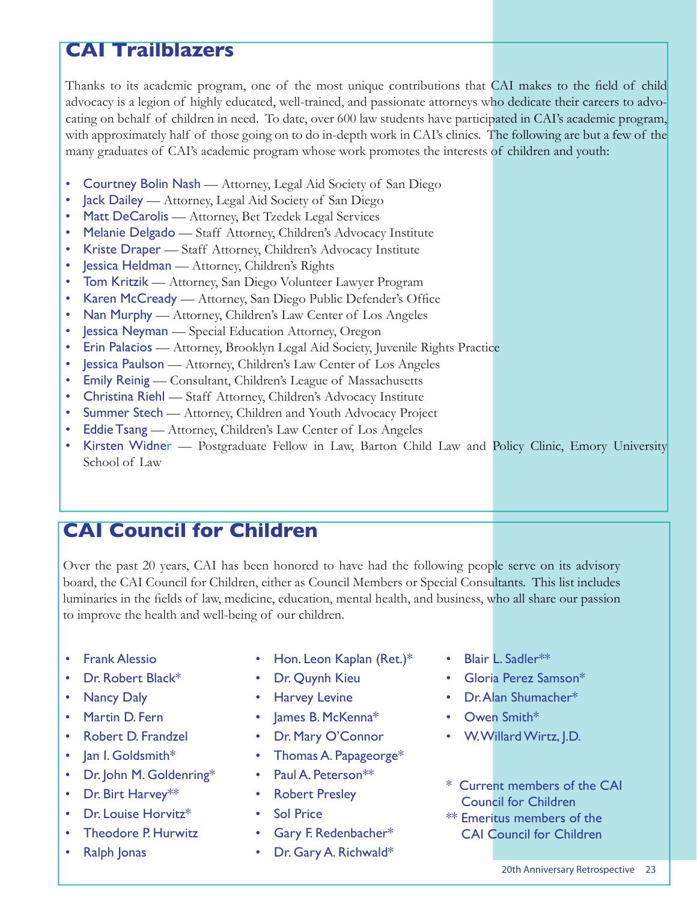#### **CAI Trailblazers**

Thanks to its academic program, one of the most unique contributions that CAI makes to the field of child advocacy is a legion of highly educated, well-trained, and passionate attorneys who dedicate their careers to advocating on behalf of children in need. To date, over 600 law students have participated in CAI's academic program, with approximately half of those going on to do in-depth work in CAI's clinics. The following are but a few of the many graduates of CAI's academic program whose work promotes the interests of children and youth:

- Courtney Bolin Nash Attorney, Legal Aid Society of San Diego
- Jack Dailey Attorney, Legal Aid Society of San Diego
- Matt DeCarolis Attorney, Bet Tzedek Legal Services
- Melanie Delgado Staff Attorney, Children's Advocacy Institute
- Kriste Draper Staff Attorney, Children's Advocacy Institute
- Jessica Heldman Attorney, Children's Rights
- Tom Kritzik Attorney, San Diego Volunteer Lawyer Program
- Karen McCready Attorney, San Diego Public Defender's Office
- Nan Murphy Attorney, Children's Law Center of Los Angeles
- **Jessica Neyman** Special Education Attorney, Oregon
- Erin Palacios Attorney, Brooklyn Legal Aid Society, Juvenile Rights Practice
- **Jessica Paulson** Attorney, Children's Law Center of Los Angeles
- **Emily Reinig** Consultant, Children's League of Massachusetts
- Christina Riehl Staff Attorney, Children's Advocacy Institute
- **Summer Stech** Attorney, Children and Youth Advocacy Project
- Eddie Tsang Attorney, Children's Law Center of Los Angeles
- Kirsten Widnen Postgraduate Fellow in Law, Barton Child Law and Policy Clinic, Emory University School of Law

#### **CAI Council for Children**

Over the past 20 years, CAI has been honored to have had the following people serve on its advisory board, the CAI Council for Children, either as Council Members or Special Consultants. This list includes luminaries in the fields of law, medicine, education, mental health, and business, who all share our passion to improve the health and well-being of our children.

- Frank Alessio
- Dr. Robert Black\*
- **Nancy Daly**
- Martin D. Fern
- Robert D. Frandzel
- Jan I. Goldsmith\*
- Dr. John M. Goldenring\*
- Dr. Birt Harvey\*\*
- Dr. Louise Horvitz\*
- Theodore P. Hurwitz
- Ralph Jonas
- Hon. Leon Kaplan (Ret.)\*
- Dr. Quynh Kieu
- **Harvey Levine**
- James B. McKenna\*
- Dr. Mary O'Connor
- Thomas A. Papageorge\*
- Paul A. Peterson\*\*
- Robert Presley
- **Sol Price**
- Gary F. Redenbacher\*
- Dr. Gary A. Richwald\*
- Blair L. Sadler\*\*
- Gloria Perez Samson\*
- Dr. Alan Shumacher\*
- Owen Smith\*
- W. Willard Wirtz, J.D.
- \* Current members of the CAI Council for Children
- \*\* Emeritus members of the CAI Council for Children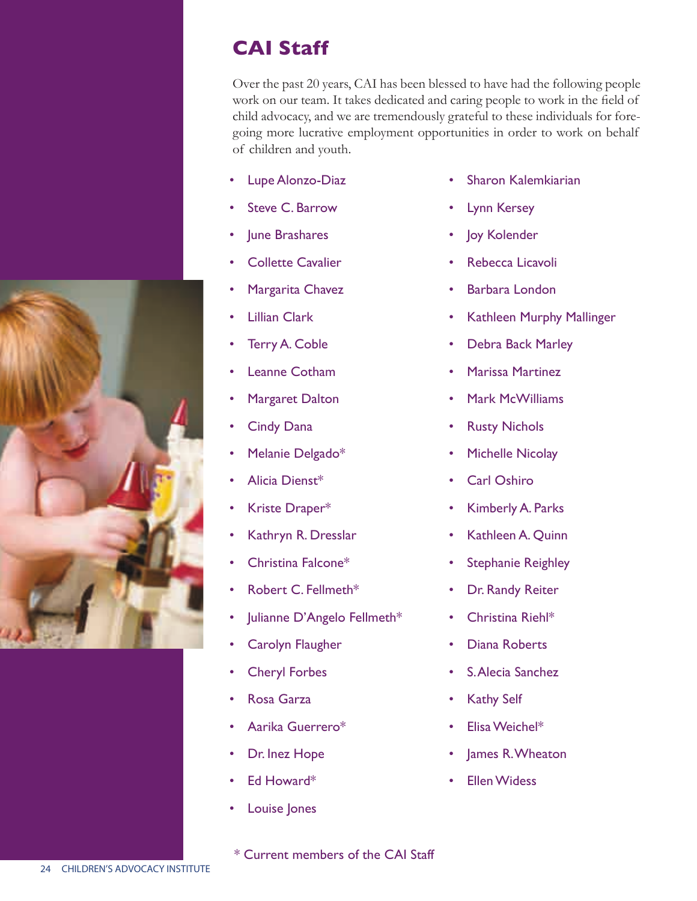#### **CAI Staff**

Over the past 20 years, CAI has been blessed to have had the following people work on our team. It takes dedicated and caring people to work in the field of child advocacy, and we are tremendously grateful to these individuals for foregoing more lucrative employment opportunities in order to work on behalf of children and youth.

- Lupe Alonzo-Diaz
- Steve C. Barrow
- June Brashares
- **Collette Cavalier**
- Margarita Chavez
- **Lillian Clark**
- Terry A. Coble
- Leanne Cotham
- **Margaret Dalton**
- **Cindy Dana**
- Melanie Delgado\*
- Alicia Dienst\*
- Kriste Draper\*
- Kathryn R. Dresslar
- Christina Falcone\*
- Robert C. Fellmeth\*
- Julianne D'Angelo Fellmeth\*
- Carolyn Flaugher
- Cheryl Forbes
- Rosa Garza
- Aarika Guerrero\*
- Dr. Inez Hope
- Ed Howard\*
- Louise Jones

\* Current members of the CAI Staff

- Sharon Kalemkiarian
- Lynn Kersey
- Joy Kolender
- Rebecca Licavoli
- Barbara London
- Kathleen Murphy Mallinger
- Debra Back Marley
- Marissa Martinez
- Mark McWilliams
- **Rusty Nichols**
- Michelle Nicolay
- Carl Oshiro
- Kimberly A. Parks
- Kathleen A. Quinn
- **Stephanie Reighley**
- Dr. Randy Reiter
- Christina Riehl\*
- Diana Roberts
- S. Alecia Sanchez
- **Kathy Self**
- Elisa Weichel\*
- lames R. Wheaton
- **Ellen Widess**

![](_page_26_Picture_51.jpeg)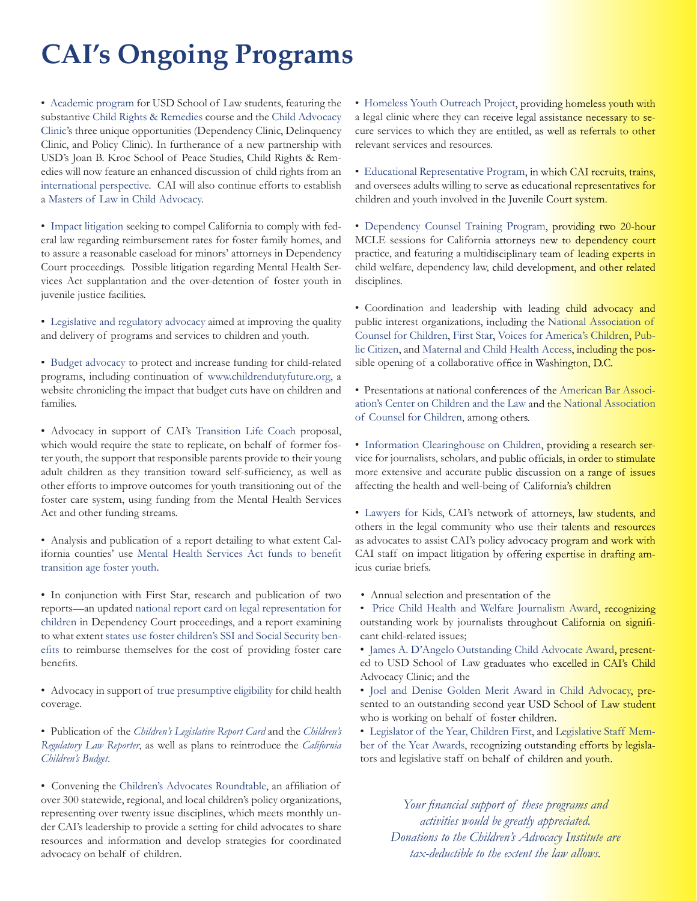#### **CAI's Ongoing Programs**

• Academic program for USD School of Law students, featuring the substantive Child Rights & Remedies course and the Child Advocacy Clinic's three unique opportunities (Dependency Clinic, Delinquency Clinic, and Policy Clinic). In furtherance of a new partnership with USD's Joan B. Kroc School of Peace Studies, Child Rights & Remedies will now feature an enhanced discussion of child rights from an international perspective. CAI will also continue efforts to establish a Masters of Law in Child Advocacy.

• Impact litigation seeking to compel California to comply with federal law regarding reimbursement rates for foster family homes, and to assure a reasonable caseload for minors' attorneys in Dependency Court proceedings. Possible litigation regarding Mental Health Services Act supplantation and the over-detention of foster youth in juvenile justice facilities.

• Legislative and regulatory advocacy aimed at improving the quality and delivery of programs and services to children and youth.

• Budget advocacy to protect and increase funding for child-related programs, including continuation of www.childrendutyfuture.org, a website chronicling the impact that budget cuts have on children and families.

• Advocacy in support of CAI's Transition Life Coach proposal, which would require the state to replicate, on behalf of former foster youth, the support that responsible parents provide to their young adult children as they transition toward self-sufficiency, as well as other efforts to improve outcomes for youth transitioning out of the foster care system, using funding from the Mental Health Services Act and other funding streams.

• Analysis and publication of a report detailing to what extent California counties' use Mental Health Services Act funds to benefit transition age foster youth.

• In conjunction with First Star, research and publication of two reports—an updated national report card on legal representation for children in Dependency Court proceedings, and a report examining to what extent states use foster children's SSI and Social Security benefits to reimburse themselves for the cost of providing foster care benefits.

 $\bullet$  Advocacy in support of true presumptive eligibility for child health coverage.

• Publication of the *Children's Legislative Report Card* and the *Children's Regulatory Law Reporter*, as well as plans to reintroduce the *California Children's Budget.* 

• Convening the Children's Advocates Roundtable, an affiliation of over 300 statewide, regional, and local children's policy organizations, representing over twenty issue disciplines, which meets monthly under CAI's leadership to provide a setting for child advocates to share resources and information and develop strategies for coordinated advocacy on behalf of children.

• Homeless Youth Outreach Project, providing homeless youth with a legal clinic where they can receive legal assistance necessary to secure services to which they are entitled, as well as referrals to other relevant services and resources.

• Educational Representative Program, in which CAI recruits, trains, and oversees adults willing to serve as educational representatives for children and youth involved in the Juvenile Court system.

• Dependency Counsel Training Program, providing two 20-hour MCLE sessions for California attorneys new to dependency court practice, and featuring a multidisciplinary team of leading experts in child welfare, dependency law, child development, and other related disciplines.

• Coordination and leadership with leading child advocacy and public interest organizations, including the National Association of Counsel for Children, First Star, Voices for America's Children, Public Citizen, and Maternal and Child Health Access, including the possible opening of a collaborative office in Washington, D.C.

• Presentations at national conferences of the American Bar Association's Center on Children and the Law and the National Association of Counsel for Children, among others.

• Information Clearinghouse on Children, providing a research service for journalists, scholars, and public officials, in order to stimulate more extensive and accurate public discussion on a range of issues affecting the health and well-being of California's children

• Lawyers for Kids, CAI's network of attorneys, law students, and others in the legal community who use their talents and resources as advocates to assist CAI's policy advocacy program and work with CAI staff on impact litigation by offering expertise in drafting amicus curiae briefs.

• Annual selection and presentation of the

• Price Child Health and Welfare Journalism Award, recognizing outstanding work by journalists throughout California on significant child-related issues;

• James A. D'Angelo Outstanding Child Advocate Award, presented to USD School of Law graduates who excelled in CAI's Child Advocacy Clinic; and the

• Joel and Denise Golden Merit Award in Child Advocacy, presented to an outstanding second year USD School of Law student who is working on behalf of foster children.

• Legislator of the Year, Children First, and Legislative Staff Member of the Year Awards, recognizing outstanding efforts by legislators and legislative staff on behalf of children and youth.

Your financial support of these programs and *activities would be greatly appreciated. Donations to the Children's Advocacy Institute are tax-deductible to the extent the law allows.*